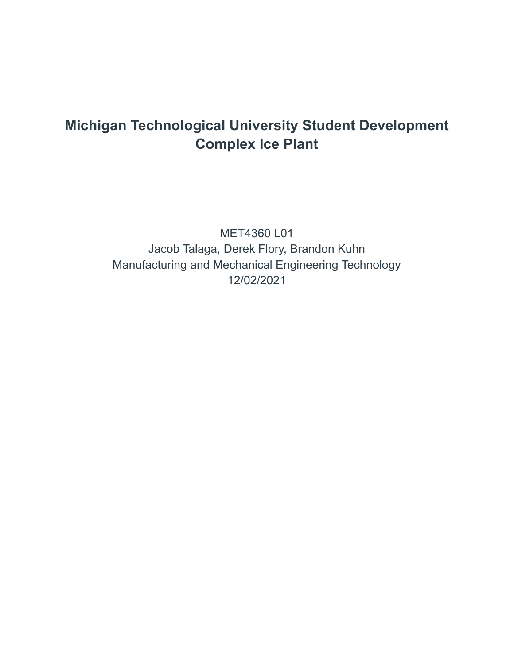# **Michigan Technological University Student Development Complex Ice Plant**

MET4360 L01 Jacob Talaga, Derek Flory, Brandon Kuhn Manufacturing and Mechanical Engineering Technology 12/02/2021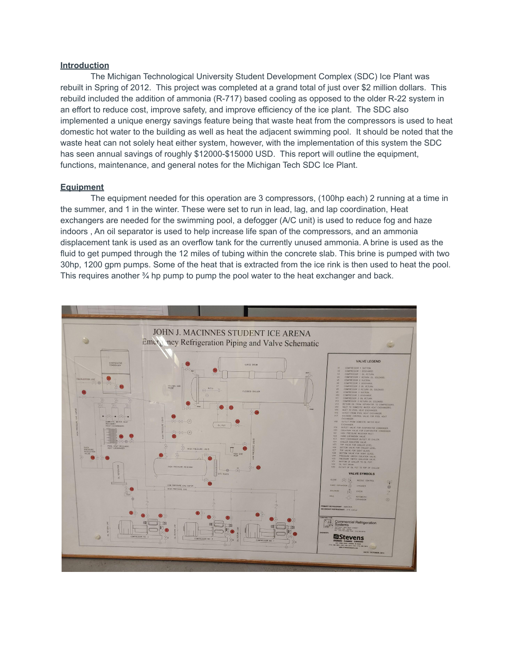## **Introduction**

The Michigan Technological University Student Development Complex (SDC) Ice Plant was rebuilt in Spring of 2012. This project was completed at a grand total of just over \$2 million dollars. This rebuild included the addition of ammonia (R-717) based cooling as opposed to the older R-22 system in an effort to reduce cost, improve safety, and improve efficiency of the ice plant. The SDC also implemented a unique energy savings feature being that waste heat from the compressors is used to heat domestic hot water to the building as well as heat the adjacent swimming pool. It should be noted that the waste heat can not solely heat either system, however, with the implementation of this system the SDC has seen annual savings of roughly \$12000-\$15000 USD. This report will outline the equipment, functions, maintenance, and general notes for the Michigan Tech SDC Ice Plant.

# **Equipment**

The equipment needed for this operation are 3 compressors, (100hp each) 2 running at a time in the summer, and 1 in the winter. These were set to run in lead, lag, and lap coordination, Heat exchangers are needed for the swimming pool, a defogger (A/C unit) is used to reduce fog and haze indoors , An oil separator is used to help increase life span of the compressors, and an ammonia displacement tank is used as an overflow tank for the currently unused ammonia. A brine is used as the fluid to get pumped through the 12 miles of tubing within the concrete slab. This brine is pumped with two 30hp, 1200 gpm pumps. Some of the heat that is extracted from the ice rink is then used to heat the pool. This requires another  $\frac{3}{4}$  hp pump to pump the pool water to the heat exchanger and back.

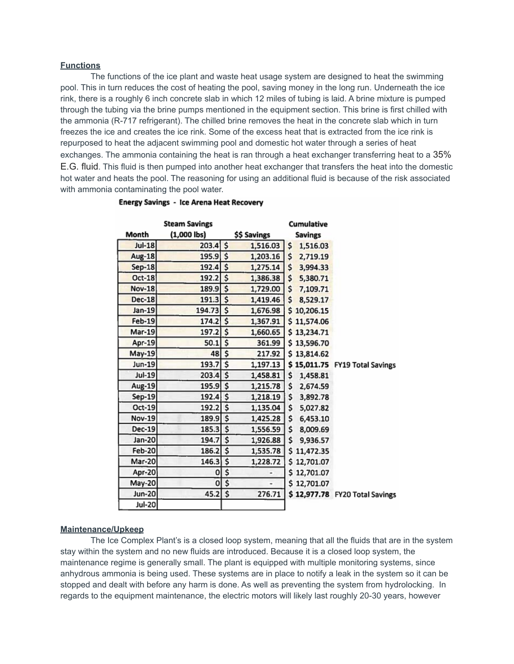## **Functions**

The functions of the ice plant and waste heat usage system are designed to heat the swimming pool. This in turn reduces the cost of heating the pool, saving money in the long run. Underneath the ice rink, there is a roughly 6 inch concrete slab in which 12 miles of tubing is laid. A brine mixture is pumped through the tubing via the brine pumps mentioned in the equipment section. This brine is first chilled with the ammonia (R-717 refrigerant). The chilled brine removes the heat in the concrete slab which in turn freezes the ice and creates the ice rink. Some of the excess heat that is extracted from the ice rink is repurposed to heat the adjacent swimming pool and domestic hot water through a series of heat exchanges. The ammonia containing the heat is ran through a heat exchanger transferring heat to a 35% E.G. fluid. This fluid is then pumped into another heat exchanger that transfers the heat into the domestic hot water and heats the pool. The reasoning for using an additional fluid is because of the risk associated with ammonia contaminating the pool water.

|               | <b>Steam Savings</b> |                | <b>Cumulative</b>              |
|---------------|----------------------|----------------|--------------------------------|
| Month         | $(1,000$ lbs)        | \$\$ Savings   | <b>Savings</b>                 |
| <b>Jul-18</b> | $203.4$ \$           | 1,516.03       | \$<br>1,516.03                 |
| <b>Aug-18</b> | $195.9$ \$           | 1,203.16       | $\mathsf{\$}$<br>2,719.19      |
| $Sep-18$      | $192.4$ \$           | 1,275.14       | \$<br>3,994.33                 |
| Oct-18        | $192.2$ \$           | 1,386.38       | \$<br>5,380.71                 |
| <b>Nov-18</b> | 189.9 \$             | 1,729.00       | \$7,109.71                     |
| <b>Dec-18</b> | $191.3$ \$           | 1,419.46       | \$<br>8,529.17                 |
| $Jan-19$      | 194.73 \$            | 1,676.98       | \$10,206.15                    |
| <b>Feb-19</b> | $174.2$ \$           | 1,367.91       | \$11,574.06                    |
| <b>Mar-19</b> | $197.2$ \$           | 1,660.65       | \$13,234.71                    |
| Apr-19        | 50.1                 | \$<br>361.99   | \$13,596.70                    |
| May-19        | $48 \mid 5$          | 217.92         | \$13,814.62                    |
| <b>Jun-19</b> | $193.7$ \$           | 1,197.13       | \$15,011.75 FY19 Total Savings |
| <b>Jul-19</b> | $203.4$ \$           | 1,458.81       | \$<br>1,458.81                 |
| Aug-19        | $195.9$ \$           | 1,215.78       | \$<br>2,674.59                 |
| Sep-19        | $192.4$ \$           | 1,218.19       | \$<br>3,892.78                 |
| $Oct-19$      | $192.2$ \$           | 1,135.04       | \$<br>5,027.82                 |
| <b>Nov-19</b> | 189.9 \$             | 1,425.28       | \$<br>6,453.10                 |
| <b>Dec-19</b> | $185.3$ \$           | 1,556.59       | \$<br>8,009.69                 |
| Jan-20        | 194.7                | \$<br>1,926.88 | \$<br>9,936.57                 |
| <b>Feb-20</b> | $186.2$ \$           | 1,535.78       | \$11,472.35                    |
| Mar-20        | $146.3$ \$           | 1,228.72       | \$12,701.07                    |
| Apr-20        | 0                    | \$             | \$12,701.07                    |
| <b>May-20</b> | O                    | \$             | \$12,701.07                    |
| Jun-20        | 45.2                 | \$<br>276.71   | \$12,977.78 FY20 Total Savings |
| Jul-20        |                      |                |                                |

#### **Energy Savings - Ice Arena Heat Recovery**

#### **Maintenance/Upkeep**

The Ice Complex Plant's is a closed loop system, meaning that all the fluids that are in the system stay within the system and no new fluids are introduced. Because it is a closed loop system, the maintenance regime is generally small. The plant is equipped with multiple monitoring systems, since anhydrous ammonia is being used. These systems are in place to notify a leak in the system so it can be stopped and dealt with before any harm is done. As well as preventing the system from hydrolocking. In regards to the equipment maintenance, the electric motors will likely last roughly 20-30 years, however